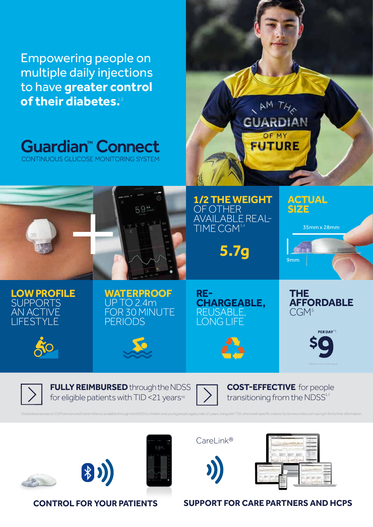Empowering people on multiple daily injections to have **greater control of their diabetes.<sup>12</sup>** 

**Guardian™ Connect** CONTINUOUS GLUCOSE MONITORING SYSTEM

## **LOW PROFILE SUPPORTS** AN ACTIVE LIFESTYLE

**WATERPROOF** UP TO 2.4m FOR 30 MINUTE PERIODS

59#





**1/2 THE WEIGHT** 

AVAILABLE REAL-

**5.7g** 

OF OTHER

TIME CGM<sup>3,</sup>

**THE AFFORDABLE**  $CGM<sup>5</sup>$ 

PER DAY<sup>\*</sup>

\*Based on 12-months supply.

35mm x 28mm

**ACTUAL** 

**SIZE**

9mm



**FULLY REIMBURSED** through the NDSS for eligible patients with TID <21 years<sup>+6</sup>

**COST-EFFECTIVE** for people transitioning from the NDSS<sup>5,7</sup>

**group image if possible**

**AM THA** 

**GUARDIAN** 

OF MY

**FUTURE** 









tSubsidisedaccess to CGM sensors and transmitters is available through the NDSS to children and young people aged under 21 years, living with T1D, who meet specific criteria. Go to www.ndss.com.au/cgm for further informati





## **CONTROL FOR YOUR PATIENTS SUPPORT FOR CARE PARTNERS AND HCPS**